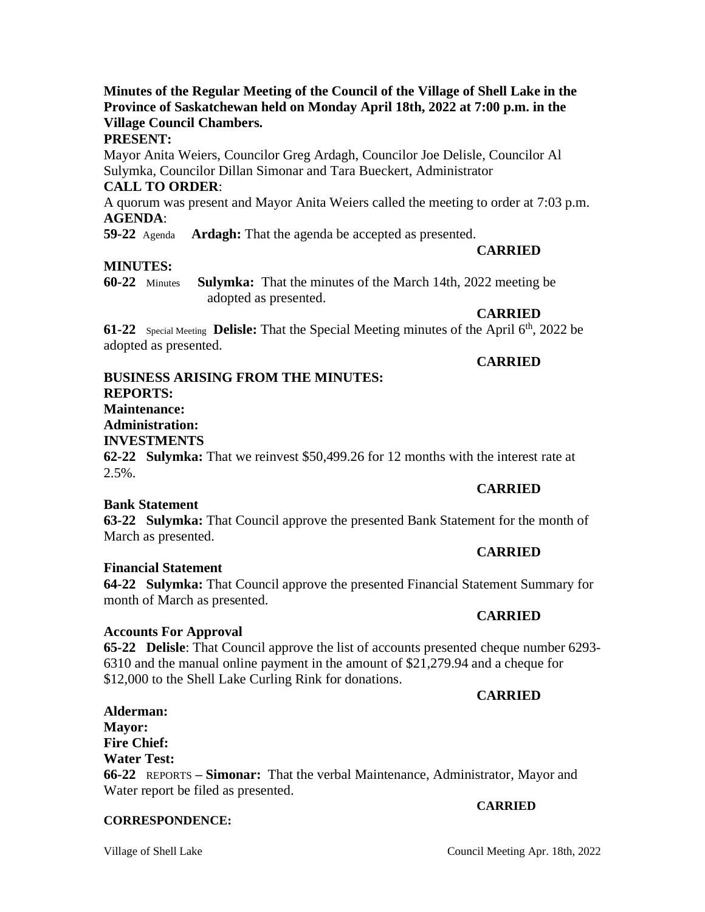#### **Minutes of the Regular Meeting of the Council of the Village of Shell Lake in the Province of Saskatchewan held on Monday April 18th, 2022 at 7:00 p.m. in the Village Council Chambers.**

#### **PRESENT:**

Mayor Anita Weiers, Councilor Greg Ardagh, Councilor Joe Delisle, Councilor Al Sulymka, Councilor Dillan Simonar and Tara Bueckert, Administrator **CALL TO ORDER**:

## A quorum was present and Mayor Anita Weiers called the meeting to order at 7:03 p.m. **AGENDA**:

**59-22** Agenda **Ardagh:** That the agenda be accepted as presented.

## **MINUTES:**

**60-22** Minutes **Sulymka:** That the minutes of the March 14th, 2022 meeting be adopted as presented.

#### **CARRIED**

**CARRIED**

**61-22** Special Meeting **Delisle:** That the Special Meeting minutes of the April 6<sup>th</sup>, 2022 be adopted as presented.

#### **BUSINESS ARISING FROM THE MINUTES: REPORTS: Maintenance: Administration: INVESTMENTS 62-22 Sulymka:** That we reinvest \$50,499.26 for 12 months with the interest rate at  $2.5\%$ . **CARRIED**

## **Bank Statement**

**63-22 Sulymka:** That Council approve the presented Bank Statement for the month of March as presented.

## **Financial Statement**

**64-22 Sulymka:** That Council approve the presented Financial Statement Summary for month of March as presented.

## **Accounts For Approval**

**65-22 Delisle**: That Council approve the list of accounts presented cheque number 6293- 6310 and the manual online payment in the amount of \$21,279.94 and a cheque for \$12,000 to the Shell Lake Curling Rink for donations.

#### **CARRIED**

#### **Alderman: Mayor: Fire Chief: Water Test: 66-22** REPORTS **– Simonar:** That the verbal Maintenance, Administrator, Mayor and Water report be filed as presented.

#### **CORRESPONDENCE:**

## **CARRIED**

## **CARRIED**

#### **CARRIED**

# **CARRIED**